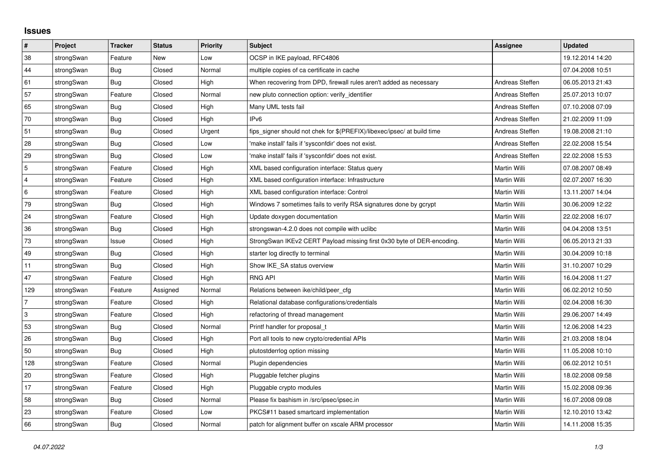## **Issues**

| $\vert$ #      | <b>Project</b> | <b>Tracker</b> | <b>Status</b> | <b>Priority</b> | <b>Subject</b>                                                          | Assignee        | <b>Updated</b>   |
|----------------|----------------|----------------|---------------|-----------------|-------------------------------------------------------------------------|-----------------|------------------|
| 38             | strongSwan     | Feature        | New           | Low             | OCSP in IKE payload, RFC4806                                            |                 | 19.12.2014 14:20 |
| 44             | strongSwan     | Bug            | Closed        | Normal          | multiple copies of ca certificate in cache                              |                 | 07.04.2008 10:51 |
| 61             | strongSwan     | Bug            | Closed        | High            | When recovering from DPD, firewall rules aren't added as necessary      | Andreas Steffen | 06.05.2013 21:43 |
| 57             | strongSwan     | Feature        | Closed        | Normal          | new pluto connection option: verify_identifier                          | Andreas Steffen | 25.07.2013 10:07 |
| 65             | strongSwan     | Bug            | Closed        | High            | Many UML tests fail                                                     | Andreas Steffen | 07.10.2008 07:09 |
| 70             | strongSwan     | Bug            | Closed        | High            | IP <sub>v6</sub>                                                        | Andreas Steffen | 21.02.2009 11:09 |
| 51             | strongSwan     | <b>Bug</b>     | Closed        | Urgent          | fips_signer should not chek for \$(PREFIX)/libexec/ipsec/ at build time | Andreas Steffen | 19.08.2008 21:10 |
| 28             | strongSwan     | <b>Bug</b>     | Closed        | Low             | 'make install' fails if 'sysconfdir' does not exist.                    | Andreas Steffen | 22.02.2008 15:54 |
| 29             | strongSwan     | Bug            | Closed        | Low             | 'make install' fails if 'sysconfdir' does not exist.                    | Andreas Steffen | 22.02.2008 15:53 |
| $\overline{5}$ | strongSwan     | Feature        | Closed        | High            | XML based configuration interface: Status query                         | Martin Willi    | 07.08.2007 08:49 |
| $\overline{4}$ | strongSwan     | Feature        | Closed        | High            | XML based configuration interface: Infrastructure                       | Martin Willi    | 02.07.2007 16:30 |
| 6              | strongSwan     | Feature        | Closed        | High            | XML based configuration interface: Control                              | Martin Willi    | 13.11.2007 14:04 |
| 79             | strongSwan     | <b>Bug</b>     | Closed        | High            | Windows 7 sometimes fails to verify RSA signatures done by gcrypt       | Martin Willi    | 30.06.2009 12:22 |
| 24             | strongSwan     | Feature        | Closed        | High            | Update doxygen documentation                                            | Martin Willi    | 22.02.2008 16:07 |
| 36             | strongSwan     | Bug            | Closed        | High            | strongswan-4.2.0 does not compile with uclibc                           | Martin Willi    | 04.04.2008 13:51 |
| $73\,$         | strongSwan     | Issue          | Closed        | High            | StrongSwan IKEv2 CERT Payload missing first 0x30 byte of DER-encoding.  | Martin Willi    | 06.05.2013 21:33 |
| 49             | strongSwan     | <b>Bug</b>     | Closed        | High            | starter log directly to terminal                                        | Martin Willi    | 30.04.2009 10:18 |
| 11             | strongSwan     | Bug            | Closed        | High            | Show IKE SA status overview                                             | Martin Willi    | 31.10.2007 10:29 |
| 47             | strongSwan     | Feature        | Closed        | High            | <b>RNG API</b>                                                          | Martin Willi    | 16.04.2008 11:27 |
| 129            | strongSwan     | Feature        | Assigned      | Normal          | Relations between ike/child/peer cfg                                    | Martin Willi    | 06.02.2012 10:50 |
| $\overline{7}$ | strongSwan     | Feature        | Closed        | High            | Relational database configurations/credentials                          | Martin Willi    | 02.04.2008 16:30 |
| 3              | strongSwan     | Feature        | Closed        | High            | refactoring of thread management                                        | Martin Willi    | 29.06.2007 14:49 |
| 53             | strongSwan     | Bug            | Closed        | Normal          | Printf handler for proposal t                                           | Martin Willi    | 12.06.2008 14:23 |
| 26             | strongSwan     | <b>Bug</b>     | Closed        | High            | Port all tools to new crypto/credential APIs                            | Martin Willi    | 21.03.2008 18:04 |
| 50             | strongSwan     | Bug            | Closed        | High            | plutostderrlog option missing                                           | Martin Willi    | 11.05.2008 10:10 |
| 128            | strongSwan     | Feature        | Closed        | Normal          | Plugin dependencies                                                     | Martin Willi    | 06.02.2012 10:51 |
| 20             | strongSwan     | Feature        | Closed        | High            | Pluggable fetcher plugins                                               | Martin Willi    | 18.02.2008 09:58 |
| 17             | strongSwan     | Feature        | Closed        | High            | Pluggable crypto modules                                                | Martin Willi    | 15.02.2008 09:36 |
| 58             | strongSwan     | <b>Bug</b>     | Closed        | Normal          | Please fix bashism in /src/ipsec/ipsec.in                               | Martin Willi    | 16.07.2008 09:08 |
| 23             | strongSwan     | Feature        | Closed        | Low             | PKCS#11 based smartcard implementation                                  | Martin Willi    | 12.10.2010 13:42 |
| 66             | strongSwan     | Bug            | Closed        | Normal          | patch for alignment buffer on xscale ARM processor                      | Martin Willi    | 14.11.2008 15:35 |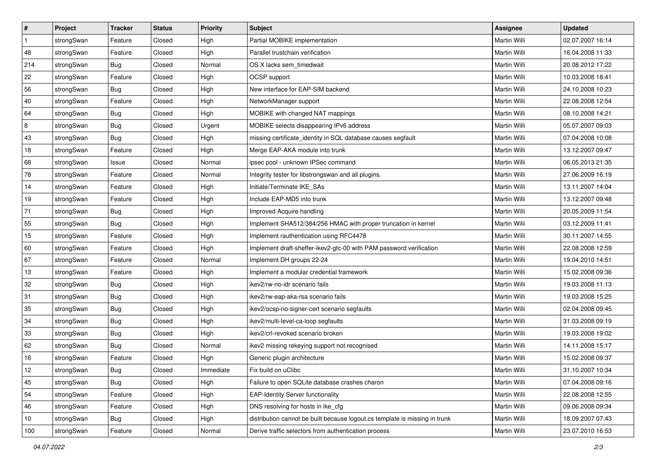| #              | Project    | <b>Tracker</b> | <b>Status</b> | <b>Priority</b> | <b>Subject</b>                                                              | Assignee            | <b>Updated</b>   |
|----------------|------------|----------------|---------------|-----------------|-----------------------------------------------------------------------------|---------------------|------------------|
| $\mathbf{1}$   | strongSwan | Feature        | Closed        | High            | Partial MOBIKE implementation                                               | Martin Willi        | 02.07.2007 16:14 |
| 48             | strongSwan | Feature        | Closed        | High            | Parallel trustchain verification                                            | <b>Martin Willi</b> | 16.04.2008 11:33 |
| 214            | strongSwan | Bug            | Closed        | Normal          | OS X lacks sem timedwait                                                    | Martin Willi        | 20.08.2012 17:22 |
| 22             | strongSwan | Feature        | Closed        | High            | OCSP support                                                                | Martin Willi        | 10.03.2008 18:41 |
| 56             | strongSwan | Bug            | Closed        | High            | New interface for EAP-SIM backend                                           | Martin Willi        | 24.10.2008 10:23 |
| 40             | strongSwan | Feature        | Closed        | High            | NetworkManager support                                                      | Martin Willi        | 22.08.2008 12:54 |
| 64             | strongSwan | Bug            | Closed        | High            | MOBIKE with changed NAT mappings                                            | Martin Willi        | 08.10.2008 14:21 |
| $\overline{8}$ | strongSwan | Bug            | Closed        | Urgent          | MOBIKE selects disappearing IPv6 address                                    | Martin Willi        | 05.07.2007 09:03 |
| 43             | strongSwan | Bug            | Closed        | High            | missing certificate_identity in SQL database causes segfault                | Martin Willi        | 07.04.2008 10:08 |
| 18             | strongSwan | Feature        | Closed        | High            | Merge EAP-AKA module into trunk                                             | <b>Martin Willi</b> | 13.12.2007 09:47 |
| 68             | strongSwan | Issue          | Closed        | Normal          | ipsec pool - unknown IPSec command                                          | Martin Willi        | 06.05.2013 21:35 |
| 78             | strongSwan | Feature        | Closed        | Normal          | Integrity tester for libstrongswan and all plugins.                         | Martin Willi        | 27.06.2009 16:19 |
| 14             | strongSwan | Feature        | Closed        | High            | Initiate/Terminate IKE_SAs                                                  | <b>Martin Willi</b> | 13.11.2007 14:04 |
| 19             | strongSwan | Feature        | Closed        | High            | Include EAP-MD5 into trunk                                                  | Martin Willi        | 13.12.2007 09:48 |
| 71             | strongSwan | Bug            | Closed        | High            | Improved Acquire handling                                                   | <b>Martin Willi</b> | 20.05.2009 11:54 |
| 55             | strongSwan | <b>Bug</b>     | Closed        | High            | Implement SHA512/384/256 HMAC with proper truncation in kernel              | Martin Willi        | 03.12.2009 11:41 |
| 15             | strongSwan | Feature        | Closed        | High            | Implement rauthentication using RFC4478                                     | <b>Martin Willi</b> | 30.11.2007 14:55 |
| 60             | strongSwan | Feature        | Closed        | High            | Implement draft-sheffer-ikev2-gtc-00 with PAM password verification         | Martin Willi        | 22.08.2008 12:59 |
| 67             | strongSwan | Feature        | Closed        | Normal          | Implement DH groups 22-24                                                   | Martin Willi        | 19.04.2010 14:51 |
| 13             | strongSwan | Feature        | Closed        | High            | Implement a modular credential framework                                    | <b>Martin Willi</b> | 15.02.2008 09:36 |
| 32             | strongSwan | Bug            | Closed        | High            | ikev2/rw-no-idr scenario fails                                              | Martin Willi        | 19.03.2008 11:13 |
| 31             | strongSwan | <b>Bug</b>     | Closed        | High            | ikev2/rw-eap-aka-rsa scenario fails                                         | Martin Willi        | 19.03.2008 15:25 |
| 35             | strongSwan | Bug            | Closed        | High            | ikev2/ocsp-no-signer-cert scenario segfaults                                | Martin Willi        | 02.04.2008 09:45 |
| 34             | strongSwan | Bug            | Closed        | High            | ikev2/multi-level-ca-loop segfaults                                         | Martin Willi        | 31.03.2008 09:19 |
| 33             | strongSwan | <b>Bug</b>     | Closed        | High            | ikev2/crl-revoked scenario broken                                           | Martin Willi        | 19.03.2008 19:02 |
| 62             | strongSwan | Bug            | Closed        | Normal          | ikev2 missing rekeying support not recognised                               | Martin Willi        | 14.11.2008 15:17 |
| 16             | strongSwan | Feature        | Closed        | High            | Generic plugin architecture                                                 | Martin Willi        | 15.02.2008 09:37 |
| 12             | strongSwan | Bug            | Closed        | Immediate       | Fix build on uClibc                                                         | Martin Willi        | 31.10.2007 10:34 |
| 45             | strongSwan | Bug            | Closed        | High            | Failure to open SQLite database crashes charon                              | Martin Willi        | 07.04.2008 09:16 |
| 54             | strongSwan | Feature        | Closed        | High            | <b>EAP-Identity Server functionality</b>                                    | Martin Willi        | 22.08.2008 12:55 |
| 46             | strongSwan | Feature        | Closed        | High            | DNS resolving for hosts in ike cfg                                          | Martin Willi        | 09.06.2008 09:34 |
| 10             | strongSwan | Bug            | Closed        | High            | distribution cannot be built because logout.cs template is missing in trunk | Martin Willi        | 18.09.2007 07:43 |
| 100            | strongSwan | Feature        | Closed        | Normal          | Derive traffic selectors from authentication process                        | Martin Willi        | 23.07.2010 16:53 |